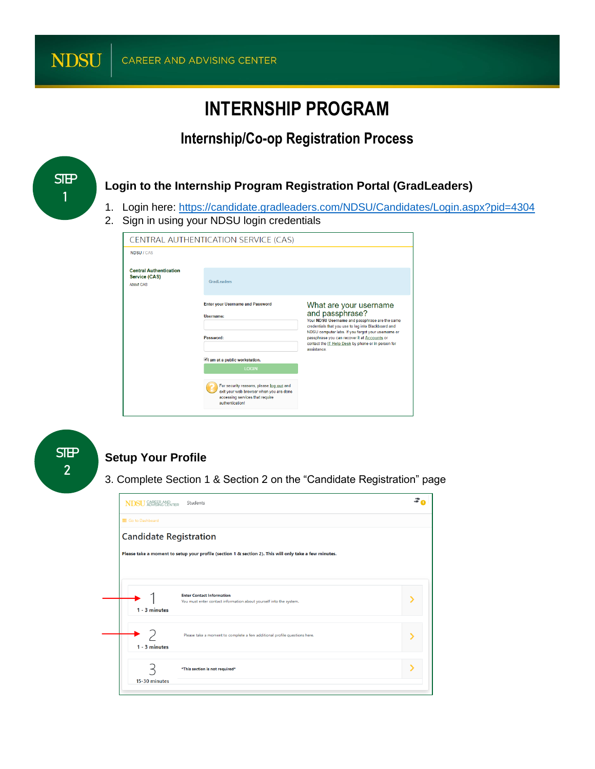# **INTERNSHIP PROGRAM**

### **Internship/Co-op Registration Process**



#### **Setup Your Profile**

**STEP 2**

3. Complete Section 1 & Section 2 on the "Candidate Registration" page

For security reasons, please log out and<br>exit your web browser when you are done<br>accessing services that require<br>authentication!

| <b>NDSU SOREER AND</b>        | Students                                                                                               |  |
|-------------------------------|--------------------------------------------------------------------------------------------------------|--|
| <b>III</b> Go to Dashboard    |                                                                                                        |  |
| <b>Candidate Registration</b> |                                                                                                        |  |
|                               | Please take a moment to setup your profile (section 1 & section 2). This will only take a few minutes. |  |
|                               |                                                                                                        |  |
| $1 - 3$ minutes               | <b>Enter Contact Information</b><br>You must enter contact information about yourself into the system. |  |
| $1 - 3$ minutes               | Please take a moment to complete a few additional profile questions here.                              |  |
| 15-30 minutes                 | *This section is not required*                                                                         |  |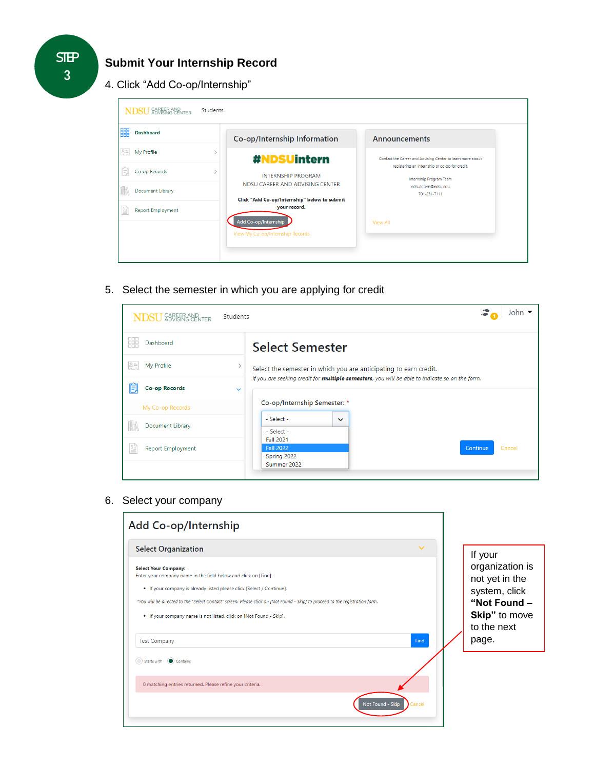#### **Submit Your Internship Record**

4. Click "Add Co-op/Internship"

| <b>Dashboard</b>         | Co-op/Internship Information                                 | Announcements                                                             |
|--------------------------|--------------------------------------------------------------|---------------------------------------------------------------------------|
| My Profile               | $\mathcal{E}$<br>#NDSUintern                                 | Contact the Career and Advising Center to learn more about                |
| Co-op Records            | <b>INTERNSHIP PROGRAM</b>                                    | registering an internship or co-op for credit.<br>Internship Program Team |
| Document Library         | NDSU CAREER AND ADVISING CENTER                              | ndsu.intern@ndsu.edu<br>701-231-7111                                      |
| <b>Report Employment</b> | Click "Add Co-op/Internship" below to submit<br>your record. |                                                                           |
|                          | Add Co-op/Internship                                         | <b>View All</b>                                                           |
|                          | View My Co-op/Internship Records                             |                                                                           |

5. Select the semester in which you are applying for credit

| CAREER AND<br>ADVISING CENTER                                               | John $\blacktriangledown$<br>Students                                                                                                                                       |
|-----------------------------------------------------------------------------|-----------------------------------------------------------------------------------------------------------------------------------------------------------------------------|
| Dashboard<br>38                                                             | <b>Select Semester</b>                                                                                                                                                      |
| 용통<br>My Profile                                                            | Select the semester in which you are anticipating to earn credit.<br>If you are seeking credit for <i>multiple semesters</i> , you will be able to indicate so on the form. |
| ê<br><b>Co-op Records</b>                                                   | $\checkmark$                                                                                                                                                                |
| My Co-op Records                                                            | Co-op/Internship Semester: *                                                                                                                                                |
| <b>Document Library</b>                                                     | - Select -<br>$\checkmark$<br>- Select -                                                                                                                                    |
| $\frac{\delta \frac{D}{2}}{\delta \frac{D}{2}}$<br><b>Report Employment</b> | <b>Fall 2021</b><br><b>Fall 2022</b><br>Cancel<br><b>Continue</b><br>Spring 2022                                                                                            |
|                                                                             | Summer 2022                                                                                                                                                                 |

6. Select your company

| <b>Select Organization</b>                                                                                                                                                                                                                                                                                                                                                     | $\checkmark$ | If your                                                                             |
|--------------------------------------------------------------------------------------------------------------------------------------------------------------------------------------------------------------------------------------------------------------------------------------------------------------------------------------------------------------------------------|--------------|-------------------------------------------------------------------------------------|
| <b>Select Your Company:</b><br>Enter your company name in the field below and click on [Find].<br>. If your company is already listed please click [Select / Continue].<br>*You will be directed to the "Select Contact" screen. Please click on [Not Found - Skip] to proceed to the registration form.<br>. If your company name is not listed, click on [Not Found - Skip]. |              | organization is<br>not yet in the<br>system, click<br>"Not Found -<br>Skip" to move |
| <b>Test Company</b>                                                                                                                                                                                                                                                                                                                                                            | Find         | to the next<br>page.                                                                |
| Starts with $\bigcirc$ Contains                                                                                                                                                                                                                                                                                                                                                |              |                                                                                     |
| 0 matching entries returned. Please refine your criteria.                                                                                                                                                                                                                                                                                                                      |              |                                                                                     |

**STEP 3**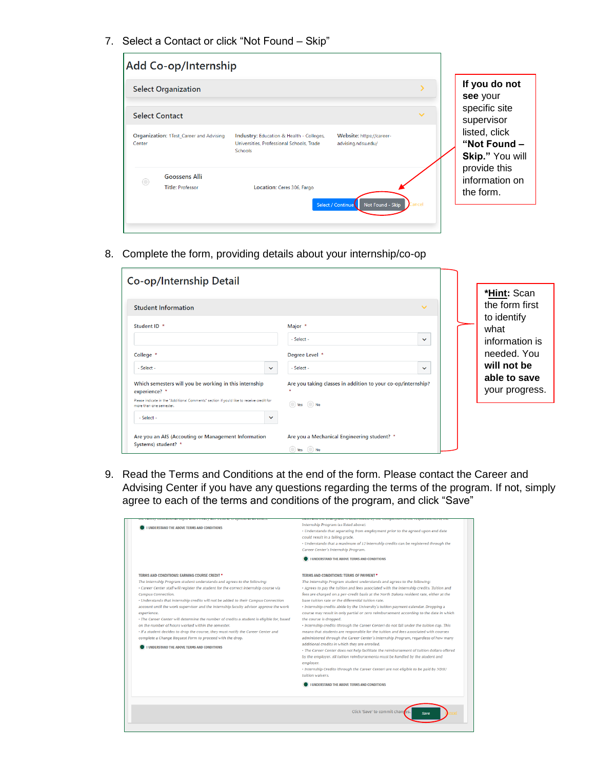7. Select a Contact or click "Not Found – Skip"

| <b>Select Organization</b>                                    |                                                                                                  |                                                |              | If you do not<br>see your                        |
|---------------------------------------------------------------|--------------------------------------------------------------------------------------------------|------------------------------------------------|--------------|--------------------------------------------------|
| <b>Select Contact</b>                                         |                                                                                                  |                                                | $\checkmark$ | specific site<br>supervisor                      |
| <b>Organization: 1Test_Career and Advising</b><br>Center      | Industry: Education & Health - Colleges,<br>Universities, Professional Schools, Trade<br>Schools | Website: https://career-<br>advising.ndsu.edu/ |              | listed, click<br>"Not Found -<br>Skip." You will |
| <b>Goossens Alli</b><br>$\bigcirc$<br><b>Title: Professor</b> | Location: Ceres 306, Fargo                                                                       |                                                |              | provide this<br>information on<br>the form.      |

8. Complete the form, providing details about your internship/co-op

| Co-op/Internship Detail                                                                                                                               |                                                                           |                                       |
|-------------------------------------------------------------------------------------------------------------------------------------------------------|---------------------------------------------------------------------------|---------------------------------------|
| <b>Student Information</b>                                                                                                                            | $\checkmark$                                                              | <b>*Hint: Scan</b><br>the form first  |
| Student ID *                                                                                                                                          | Major *<br>$-$ Select $-$<br>$\checkmark$                                 | to identify<br>what<br>information is |
| College *<br>$-$ Select $-$<br>$\checkmark$                                                                                                           | Degree Level *<br>$-$ Select $-$<br>$\checkmark$                          | needed. You<br>will not be            |
| Which semesters will you be working in this internship<br>experience? *                                                                               | Are you taking classes in addition to your co-op/internship?              | able to save<br>your progress.        |
| Please indicate in the "Additional Comments" section if you'd like to receive credit for<br>more than one semester.<br>$-$ Select $-$<br>$\checkmark$ | ◯ Yes ◯ No                                                                |                                       |
| Are you an AIS (Accouting or Management Information<br>Systems) student? *                                                                            | Are you a Mechanical Engineering student? *<br>$\Box$ No<br>$\rangle$ Yes |                                       |

9. Read the Terms and Conditions at the end of the form. Please contact the Career and Advising Center if you have any questions regarding the terms of the program. If not, simply agree to each of the terms and conditions of the program, and click "Save"

| <b>I UNDERSTAND THE ABOVE TERMS AND CONDITIONS</b>                                                                                                                                                                                                                                                                                                                                                                                                                                                                                                                                                                                                                                                                                                                                              | Internship Program (as listed above).<br>• Understands that separating from employment prior to the agreed upon end date<br>could result in a failing grade.<br>• Understands that a maximum of 12 internship credits can be registered through the<br>Career Center's Internship Program.<br>I UNDERSTAND THE ABOVE TERMS AND CONDITIONS                                                                                                                                                                                                                                                                                                                                                                                                                                                                                                                                                                                                                                                                                                                                                                                                                                                     |  |
|-------------------------------------------------------------------------------------------------------------------------------------------------------------------------------------------------------------------------------------------------------------------------------------------------------------------------------------------------------------------------------------------------------------------------------------------------------------------------------------------------------------------------------------------------------------------------------------------------------------------------------------------------------------------------------------------------------------------------------------------------------------------------------------------------|-----------------------------------------------------------------------------------------------------------------------------------------------------------------------------------------------------------------------------------------------------------------------------------------------------------------------------------------------------------------------------------------------------------------------------------------------------------------------------------------------------------------------------------------------------------------------------------------------------------------------------------------------------------------------------------------------------------------------------------------------------------------------------------------------------------------------------------------------------------------------------------------------------------------------------------------------------------------------------------------------------------------------------------------------------------------------------------------------------------------------------------------------------------------------------------------------|--|
| TERMS AND CONDITIONS: EARNING COURSE CREDIT *<br>The Internship Program student understands and agrees to the following:<br>· Career Center staff will register the student for the correct internship course via<br>Campus Connection.<br>· Understands that internship credits will not be added to their Campus Connection<br>account until the work supervisor and the internship faculty advisor approve the work<br>experience.<br>· The Career Center will determine the number of credits a student is eligible for, based<br>on the number of hours worked within the semester.<br>· If a student decides to drop the course, they must notify the Career Center and<br>complete a Change Request Form to proceed with the drop.<br><b>I UNDERSTAND THE ABOVE TERMS AND CONDITIONS</b> | TERMS AND CONDITIONS: TERMS OF PAYMENT *<br>The Internship Program student understands and agrees to the following:<br>· Agrees to pay the tuition and fees associated with the internship credits. Tuition and<br>fees are charged on a per-credit basis at the North Dakota resident rate, either at the<br>base tuition rate or the differential tuition rate.<br>· Internship credits abide by the University's tuition payment calendar. Dropping a<br>course may result in only partial or zero reimbursement according to the date in which<br>the course is dropped.<br>· Internship credits (through the Career Center) do not fall under the tuition cap. This<br>means that students are responsible for the tuition and fees associated with courses<br>administered through the Career Center's Internship Program, regardless of how many<br>additional credits in which they are enrolled.<br>· The Career Center does not help facilitate the reimbursement of tuition dollars offered<br>by the employer. All tuition reimbursements must be handled by the student and<br>employer.<br>· Internship Credits (through the Career Center) are not eligible to be paid by NDSU |  |
|                                                                                                                                                                                                                                                                                                                                                                                                                                                                                                                                                                                                                                                                                                                                                                                                 | I UNDERSTAND THE ABOVE TERMS AND CONDITIONS<br>Click 'Save' to commit changes.<br>Save                                                                                                                                                                                                                                                                                                                                                                                                                                                                                                                                                                                                                                                                                                                                                                                                                                                                                                                                                                                                                                                                                                        |  |